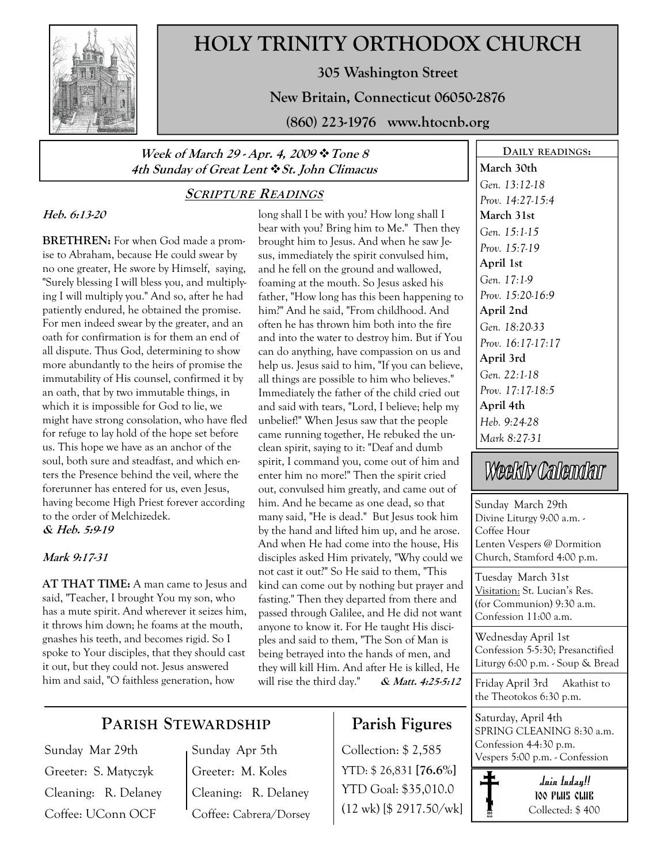

# HOLY TRINITY ORTHODOX CHURCH

305 Washington Street

New Britain, Connecticut 06050-2876

(860) 223-1976 www.htocnb.org

### Week of March 29 - Apr. 4, 2009 \* Tone 8 4th Sunday of Great Lent  $\cdot$  St. John Climacus

# SCRIPTURE READINGS

### Heb. 6:13-20

BRETHREN: For when God made a promise to Abraham, because He could swear by no one greater, He swore by Himself, saying, "Surely blessing I will bless you, and multiplying I will multiply you." And so, after he had patiently endured, he obtained the promise. For men indeed swear by the greater, and an oath for confirmation is for them an end of all dispute. Thus God, determining to show more abundantly to the heirs of promise the immutability of His counsel, confirmed it by an oath, that by two immutable things, in which it is impossible for God to lie, we might have strong consolation, who have fled for refuge to lay hold of the hope set before us. This hope we have as an anchor of the soul, both sure and steadfast, and which enters the Presence behind the veil, where the forerunner has entered for us, even Jesus, having become High Priest forever according to the order of Melchizedek. & Heb. 5:9-19

### Mark 9:17-31

AT THAT TIME: A man came to Jesus and said, "Teacher, I brought You my son, who has a mute spirit. And wherever it seizes him, it throws him down; he foams at the mouth, gnashes his teeth, and becomes rigid. So I spoke to Your disciples, that they should cast it out, but they could not. Jesus answered him and said, "O faithless generation, how

long shall I be with you? How long shall I bear with you? Bring him to Me." Then they brought him to Jesus. And when he saw Jesus, immediately the spirit convulsed him, and he fell on the ground and wallowed, foaming at the mouth. So Jesus asked his father, "How long has this been happening to him?" And he said, "From childhood. And often he has thrown him both into the fire and into the water to destroy him. But if You can do anything, have compassion on us and help us. Jesus said to him, "If you can believe, all things are possible to him who believes." Immediately the father of the child cried out and said with tears, "Lord, I believe; help my unbelief!" When Jesus saw that the people came running together, He rebuked the unclean spirit, saying to it: "Deaf and dumb spirit, I command you, come out of him and enter him no more!" Then the spirit cried out, convulsed him greatly, and came out of him. And he became as one dead, so that many said, "He is dead." But Jesus took him by the hand and lifted him up, and he arose. And when He had come into the house, His disciples asked Him privately, "Why could we not cast it out?" So He said to them, "This kind can come out by nothing but prayer and fasting." Then they departed from there and passed through Galilee, and He did not want anyone to know it. For He taught His disciples and said to them, "The Son of Man is being betrayed into the hands of men, and they will kill Him. And after He is killed, He will rise the third day." & Matt. 4:25-5:12

## March 30th Gen. 13:12-18 Prov. 14:27-15:4 March 31st Gen. 15:1-15 Prov. 15:7-19 April 1st Gen. 17:1-9 Prov. 15:20-16:9 April 2nd Gen. 18:20-33 Prov. 16:17-17:17 April 3rd Gen. 22:1-18 Prov. 17:17-18:5 April 4th Heb. 9:24-28 Mark 8:27-31

DAILY READINGS:

# Weekly Callendlar

Sunday March 29th Divine Liturgy 9:00 a.m. - Coffee Hour Lenten Vespers @ Dormition Church, Stamford 4:00 p.m.

Tuesday March 31st Visitation: St. Lucian's Res. (for Communion) 9:30 a.m. Confession 11:00 a.m.

Wednesday April 1st Confession 5-5:30; Presanctified Liturgy 6:00 p.m. - Soup & Bread

Friday April 3rd Akathist to the Theotokos 6:30 p.m.

Saturday, April 4th SPRING CLEANING 8:30 a.m. Confession 4-4:30 p.m. Vespers 5:00 p.m. - Confession

> Join today!! 100 PLUS CLUB Collected: \$ 400

# PARISH STEWARDSHIP

Sunday Mar 29th Greeter: S. Matyczyk Cleaning: R. Delaney Coffee: UConn OCF

Sunday Apr 5th Greeter: M. Koles Cleaning: R. Delaney Coffee: Cabrera/Dorsey

# Parish Figures

Collection: \$ 2,585 YTD: \$ 26,831 [76.6%] YTD Goal: \$35,010.0 (12 wk) [\$ 2917.50/wk]